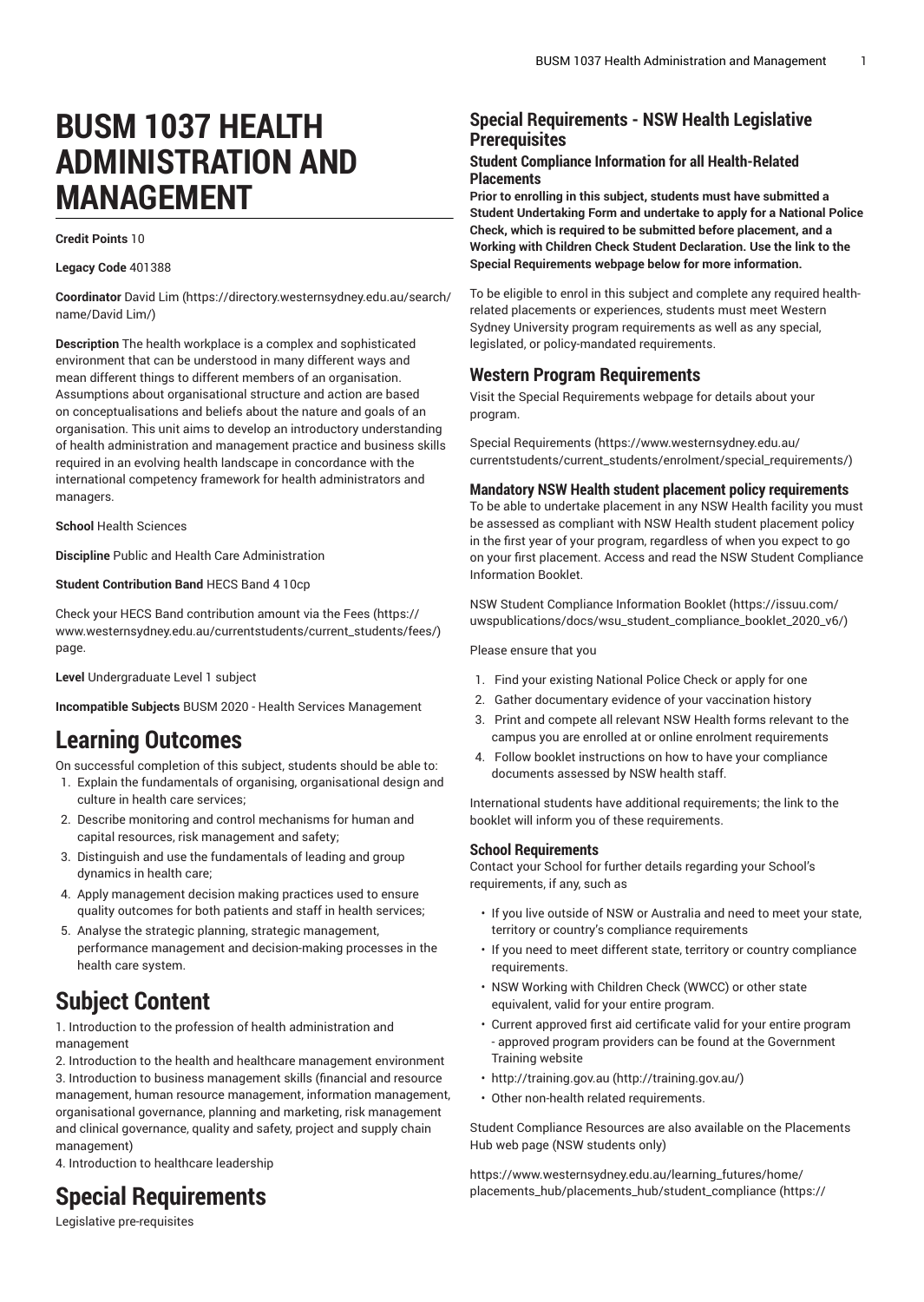# **BUSM 1037 HEALTH ADMINISTRATION AND MANAGEMENT**

**Credit Points** 10

**Legacy Code** 401388

**Coordinator** [David](https://directory.westernsydney.edu.au/search/name/David Lim/) Lim ([https://directory.westernsydney.edu.au/search/](https://directory.westernsydney.edu.au/search/name/David Lim/) [name/David](https://directory.westernsydney.edu.au/search/name/David Lim/) Lim/)

**Description** The health workplace is a complex and sophisticated environment that can be understood in many different ways and mean different things to different members of an organisation. Assumptions about organisational structure and action are based on conceptualisations and beliefs about the nature and goals of an organisation. This unit aims to develop an introductory understanding of health administration and management practice and business skills required in an evolving health landscape in concordance with the international competency framework for health administrators and managers.

**School** Health Sciences

**Discipline** Public and Health Care Administration

#### **Student Contribution Band** HECS Band 4 10cp

Check your HECS Band contribution amount via the [Fees \(https://](https://www.westernsydney.edu.au/currentstudents/current_students/fees/) [www.westernsydney.edu.au/currentstudents/current\\_students/fees/\)](https://www.westernsydney.edu.au/currentstudents/current_students/fees/) page.

**Level** Undergraduate Level 1 subject

**Incompatible Subjects** [BUSM 2020](/search/?P=BUSM%202020) - Health Services Management

## **Learning Outcomes**

On successful completion of this subject, students should be able to:

- 1. Explain the fundamentals of organising, organisational design and culture in health care services;
- 2. Describe monitoring and control mechanisms for human and capital resources, risk management and safety;
- 3. Distinguish and use the fundamentals of leading and group dynamics in health care;
- 4. Apply management decision making practices used to ensure quality outcomes for both patients and staff in health services;
- 5. Analyse the strategic planning, strategic management, performance management and decision-making processes in the health care system.

## **Subject Content**

1. Introduction to the profession of health administration and management

2. Introduction to the health and healthcare management environment 3. Introduction to business management skills (financial and resource management, human resource management, information management, organisational governance, planning and marketing, risk management and clinical governance, quality and safety, project and supply chain management)

4. Introduction to healthcare leadership

## **Special Requirements**

### **Special Requirements - NSW Health Legislative Prerequisites**

#### **Student Compliance Information for all Health-Related Placements**

**Prior to enrolling in this subject, students must have submitted a Student Undertaking Form and undertake to apply for a National Police Check, which is required to be submitted before placement, and a Working with Children Check Student Declaration. Use the link to the Special Requirements webpage below for more information.**

To be eligible to enrol in this subject and complete any required healthrelated placements or experiences, students must meet Western Sydney University program requirements as well as any special, legislated, or policy-mandated requirements.

#### **Western Program Requirements**

Visit the Special Requirements webpage for details about your program.

Special [Requirements \(https://www.westernsydney.edu.au/](https://www.westernsydney.edu.au/currentstudents/current_students/enrolment/special_requirements/) [currentstudents/current\\_students/enrolment/special\\_requirements/](https://www.westernsydney.edu.au/currentstudents/current_students/enrolment/special_requirements/))

#### **Mandatory NSW Health student placement policy requirements**

To be able to undertake placement in any NSW Health facility you must be assessed as compliant with NSW Health student placement policy in the first year of your program, regardless of when you expect to go on your first placement. Access and read the NSW Student Compliance Information Booklet.

[NSW Student Compliance Information Booklet](https://issuu.com/uwspublications/docs/wsu_student_compliance_booklet_2020_v6/) ([https://issuu.com/](https://issuu.com/uwspublications/docs/wsu_student_compliance_booklet_2020_v6/) [uwspublications/docs/wsu\\_student\\_compliance\\_booklet\\_2020\\_v6/](https://issuu.com/uwspublications/docs/wsu_student_compliance_booklet_2020_v6/))

Please ensure that you

- 1. Find your existing National Police Check or apply for one
- 2. Gather documentary evidence of your vaccination history
- 3. Print and compete all relevant NSW Health forms relevant to the campus you are enrolled at or online enrolment requirements
- 4. Follow booklet instructions on how to have your compliance documents assessed by NSW health staff.

International students have additional requirements; the link to the booklet will inform you of these requirements.

#### **School Requirements**

Contact your School for further details regarding your School's requirements, if any, such as

- If you live outside of NSW or Australia and need to meet your state, territory or country's compliance requirements
- If you need to meet different state, territory or country compliance requirements.
- NSW Working with Children Check (WWCC) or other state equivalent, valid for your entire program.
- Current approved first aid certificate valid for your entire program - approved program providers can be found at the Government Training website
- [http://training.gov.au \(http://training.gov.au/\)](http://training.gov.au/)
- Other non-health related requirements.

Student Compliance Resources are also available on the Placements Hub web page (NSW students only)

[https://www.westernsydney.edu.au/learning\\_futures/home/](https://www.westernsydney.edu.au/learning_futures/home/placements_hub/placements_hub/student_compliance/) [placements\\_hub/placements\\_hub/student\\_compliance](https://www.westernsydney.edu.au/learning_futures/home/placements_hub/placements_hub/student_compliance/) [\(https://](https://www.westernsydney.edu.au/learning_futures/home/placements_hub/placements_hub/student_compliance/)

Legislative pre-requisites